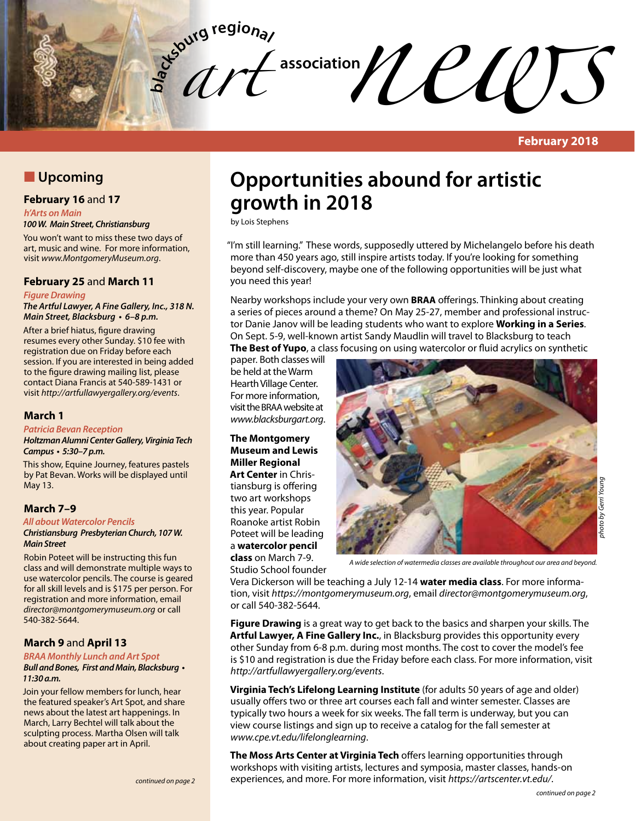**bla** *art*   $\ell$ *c***d** $\ell$ 

**February 2018**

# **N** Upcoming

#### **February 16** and **17**

*h'Arts on Main*

#### *100 W. Main Street, Christiansburg*

You won't want to miss these two days of art, music and wine. For more information, visit *www.MontgomeryMuseum.org*.

#### **February 25** and **March 11**

#### *Figure Drawing*

*The Artful Lawyer, A Fine Gallery, Inc., 318 N.*  **Main Street, Blacksburg • 6–8 p.m.**

After a brief hiatus, figure drawing resumes every other Sunday. \$10 fee with registration due on Friday before each session. If you are interested in being added to the figure drawing mailing list, please contact Diana Francis at 540-589-1431 or visit *http://artfullawyergallery.org/events*.

#### **March 1**

#### **Patricia Bevan Reception**

**Holtzman Alumni Center Gallery, Virginia Tech Campus • 5:30–7 p.m.**

This show, Equine Journey, features pastels by Pat Bevan. Works will be displayed until May 13.

#### **March 7–9**

*All about Watercolor Pencils*

**Christiansburg Presbyterian Church, 107 W.**  *Main Street*

Robin Poteet will be instructing this fun class and will demonstrate multiple ways to use watercolor pencils. The course is geared for all skill levels and is \$175 per person. For registration and more information, email *director@montgomerymuseum.org* or call 540-382-5644.

#### **March 9** and **April 13**

#### **BRAA Monthly Lunch and Art Spot**

#### **Bull and Bones, First and Main, Blacksburg • 11:30 a.m.**

Join your fellow members for lunch, hear the featured speaker's Art Spot, and share news about the latest art happenings. In March, Larry Bechtel will talk about the sculpting process. Martha Olsen will talk about creating paper art in April.

# **Opportunities abound for artistic growth in 2018**

by Lois Stephens

"I'm still learning." These words, supposedly uttered by Michelangelo before his death more than 450 years ago, still inspire artists today. If you're looking for something beyond self-discovery, maybe one of the following opportunities will be just what you need this year!

Nearby workshops include your very own **BRAA** offerings. Thinking about creating a series of pieces around a theme? On May 25-27, member and professional instructor Danie Janov will be leading students who want to explore **Working in a Series**. On Sept. 5-9, well-known artist Sandy Maudlin will travel to Blacksburg to teach **The Best of Yupo**, a class focusing on using watercolor or fluid acrylics on synthetic

paper. Both classes will be held at the Warm Hearth Village Center. For more information, visit the BRAA website at *www.blacksburgart.org*.

#### **The Montgomery Museum and Lewis Miller Regional Art Center** in Christiansburg is offering two art workshops this year. Popular

Roanoke artist Robin Poteet will be leading a **watercolor pencil class** on March 7-9. Studio School founder



*A wide selection of watermedia classes are available throughout our area and beyond.*

Vera Dickerson will be teaching a July 12-14 **water media class**. For more information, visit *https://montgomerymuseum.org*, email *director@montgomerymuseum.org*, or call 540-382-5644.

**Figure Drawing** is a great way to get back to the basics and sharpen your skills. The **Artful Lawyer, A Fine Gallery Inc.**, in Blacksburg provides this opportunity every other Sunday from 6-8 p.m. during most months. The cost to cover the model's fee is \$10 and registration is due the Friday before each class. For more information, visit *http://artfullawyergallery.org/events*.

**Virginia Tech's Lifelong Learning Institute** (for adults 50 years of age and older) usually offers two or three art courses each fall and winter semester. Classes are typically two hours a week for six weeks. The fall term is underway, but you can view course listings and sign up to receive a catalog for the fall semester at *www.cpe.vt.edu/lifelonglearning*.

**The Moss Arts Center at Virginia Tech** offers learning opportunities through workshops with visiting artists, lectures and symposia, master classes, hands-on experiences, and more. For more information, visit *https://artscenter.vt.edu/*.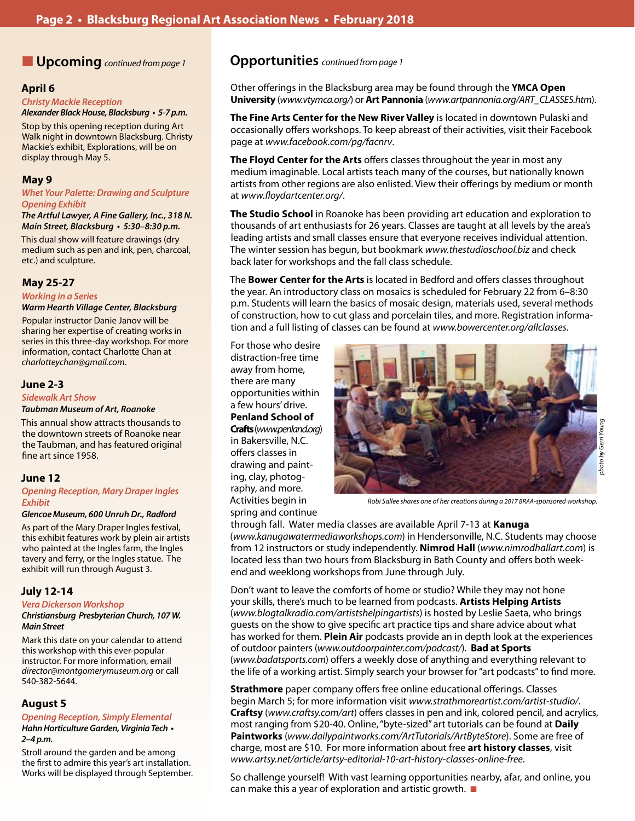#### **April 6**

**Christy Mackie Reception Alexander Black House, Blacksburg • 5-7 p.m.**

Stop by this opening reception during Art Walk night in downtown Blacksburg. Christy Mackie's exhibit, Explorations, will be on display through May 5.

### **May 9**

**Whet Your Palette: Drawing and Sculpture Opening Exhibit**

*The Artful Lawyer, A Fine Gallery, Inc., 318 N.*  **Main Street, Blacksburg • 5:30–8:30 p.m.**

This dual show will feature drawings (dry medium such as pen and ink, pen, charcoal, etc.) and sculpture.

### **May 25-27**

*Working in a Series*

**Warm Hearth Village Center, Blacksburg**

Popular instructor Danie Janov will be sharing her expertise of creating works in series in this three-day workshop. For more information, contact Charlotte Chan at *charlotteychan@gmail.com*.

#### **June 2-3**

#### *Sidewalk Art Show*

#### **Taubman Museum of Art, Roanoke**

This annual show attracts thousands to the downtown streets of Roanoke near the Taubman, and has featured original fine art since 1958.

## **June 12**

**Opening Reception, Mary Draper Ingles Exhibit** 

#### **Glencoe Museum, 600 Unruh Dr.,** *Radford*

As part of the Mary Draper Ingles festival, this exhibit features work by plein air artists who painted at the Ingles farm, the Ingles tavery and ferry, or the Ingles statue. The exhibit will run through August 3.

#### **July 12-14**

#### **Vera Dickerson Workshop**

#### **Christiansburg Presbyterian Church, 107 W.**  *Main Street*

Mark this date on your calendar to attend this workshop with this ever-popular instructor. For more information, email *director@montgomerymuseum.org* or call 540-382-5644.

#### **August 5**

# **Opening Reception, Simply Elemental**

**Hahn Horticulture Garden, Virginia Tech • 2–4 p.m.**

Stroll around the garden and be among the first to admire this year's art installation. Works will be displayed through September.

# n **Upcoming** *continued from page 1* **Opportunities** *continued from page 1*

Other offerings in the Blacksburg area may be found through the **YMCA Open University** (*www.vtymca.org/*) or **Art Pannonia** (*www.artpannonia.org/ART\_CLASSES.htm*).

**The Fine Arts Center for the New River Valley** is located in downtown Pulaski and occasionally offers workshops. To keep abreast of their activities, visit their Facebook page at *www.facebook.com/pg/facnrv*.

**The Floyd Center for the Arts** offers classes throughout the year in most any medium imaginable. Local artists teach many of the courses, but nationally known artists from other regions are also enlisted. View their offerings by medium or month at *www.floydartcenter.org/*.

**The Studio School** in Roanoke has been providing art education and exploration to thousands of art enthusiasts for 26 years. Classes are taught at all levels by the area's leading artists and small classes ensure that everyone receives individual attention. The winter session has begun, but bookmark *www.thestudioschool.biz* and check back later for workshops and the fall class schedule.

The **Bower Center for the Arts** is located in Bedford and offers classes throughout the year. An introductory class on mosaics is scheduled for February 22 from 6–8:30 p.m. Students will learn the basics of mosaic design, materials used, several methods of construction, how to cut glass and porcelain tiles, and more. Registration information and a full listing of classes can be found at *www.bowercenter.org/allclasses*.

For those who desire distraction-free time away from home, there are many opportunities within a few hours' drive. **Penland School of Crafts** (*www.penland.org*) in Bakersville, N.C. offers classes in drawing and painting, clay, photography, and more. Activities begin in spring and continue



*Robi Sallee shares one of her creations during a 2017 BRAA-sponsored workshop.*

through fall. Water media classes are available April 7-13 at **Kanuga** (*www.kanugawatermediaworkshops.com*) in Hendersonville, N.C. Students may choose from 12 instructors or study independently. **Nimrod Hall** (*www.nimrodhallart.com*) is located less than two hours from Blacksburg in Bath County and offers both weekend and weeklong workshops from June through July.

Don't want to leave the comforts of home or studio? While they may not hone your skills, there's much to be learned from podcasts. **Artists Helping Artists** (*www.blogtalkradio.com/artistshelpingartists*) is hosted by Leslie Saeta, who brings guests on the show to give specific art practice tips and share advice about what has worked for them. **Plein Air** podcasts provide an in depth look at the experiences of outdoor painters (*www.outdoorpainter.com/podcast/*). **Bad at Sports** (*www.badatsports.com*) offers a weekly dose of anything and everything relevant to the life of a working artist. Simply search your browser for "art podcasts" to find more.

**Strathmore** paper company offers free online educational offerings. Classes begin March 5; for more information visit *www.strathmoreartist.com/artist-studio/*. **Craftsy** (*www.craftsy.com/art*) offers classes in pen and ink, colored pencil, and acrylics, most ranging from \$20-40. Online, "byte-sized" art tutorials can be found at **Daily Paintworks** (*www.dailypaintworks.com/ArtTutorials/ArtByteStore*). Some are free of charge, most are \$10. For more information about free **art history classes**, visit *www.artsy.net/article/artsy-editorial-10-art-history-classes-online-free*.

So challenge yourself! With vast learning opportunities nearby, afar, and online, you can make this a year of exploration and artistic growth.  $\blacksquare$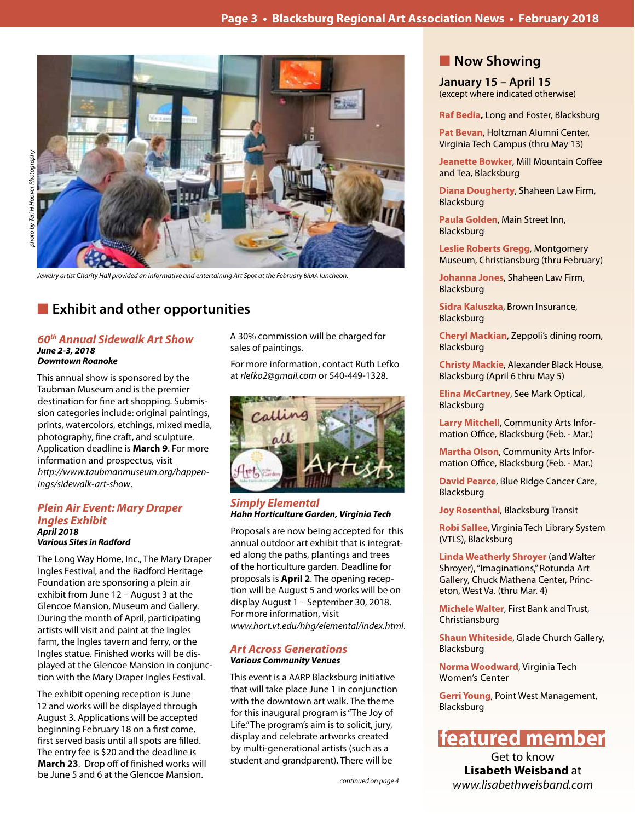

*Jewelry artist Charity Hall provided an informative and entertaining Art Spot at the February BRAA luncheon.*

# **Exhibit and other opportunities**

#### *60th Annual Sidewalk Art Show June 2-3, 2018 Downtown Roanoke*

This annual show is sponsored by the Taubman Museum and is the premier destination for fine art shopping. Submission categories include: original paintings, prints, watercolors, etchings, mixed media, photography, fine craft, and sculpture. Application deadline is **March 9**. For more information and prospectus, visit *http://www.taubmanmuseum.org/happenings/sidewalk-art-show*.

#### *Plein Air Event: Mary Draper Ingles Exhibit April 2018 Various Sites in Radford*

The Long Way Home, Inc., The Mary Draper Ingles Festival, and the Radford Heritage Foundation are sponsoring a plein air exhibit from June 12 – August 3 at the Glencoe Mansion, Museum and Gallery. During the month of April, participating artists will visit and paint at the Ingles farm, the Ingles tavern and ferry, or the Ingles statue. Finished works will be displayed at the Glencoe Mansion in conjunction with the Mary Draper Ingles Festival.

The exhibit opening reception is June 12 and works will be displayed through August 3. Applications will be accepted beginning February 18 on a first come, first served basis until all spots are filled. The entry fee is \$20 and the deadline is **March 23**. Drop off of finished works will be June 5 and 6 at the Glencoe Mansion.

A 30% commission will be charged for sales of paintings.

For more information, contact Ruth Lefko at *rlefko2@gmail.com* or 540-449-1328.



*Simply Elemental Hahn Horticulture Garden, Virginia Tech*

Proposals are now being accepted for this annual outdoor art exhibit that is integrated along the paths, plantings and trees of the horticulture garden. Deadline for proposals is **April 2**. The opening reception will be August 5 and works will be on display August 1 – September 30, 2018. For more information, visit *www.hort.vt.edu/hhg/elemental/index.html*.

#### *Art Across Generations Various Community Venues*

This event is a AARP Blacksburg initiative that will take place June 1 in conjunction with the downtown art walk. The theme for this inaugural program is "The Joy of Life." The program's aim is to solicit, jury, display and celebrate artworks created by multi-generational artists (such as a student and grandparent). There will be

# **Now Showing**

**January 15 – April 15** (except where indicated otherwise)

**Raf Bedia,** Long and Foster, Blacksburg

**Pat Bevan**, Holtzman Alumni Center, Virginia Tech Campus (thru May 13)

**Jeanette Bowker**, Mill Mountain Coffee and Tea, Blacksburg

**Diana Dougherty**, Shaheen Law Firm, Blacksburg

**Paula Golden**, Main Street Inn, Blacksburg

**Leslie Roberts Gregg**, Montgomery Museum, Christiansburg (thru February)

**Johanna Jones**, Shaheen Law Firm, Blacksburg

**Sidra Kaluszka**, Brown Insurance, Blacksburg

**Cheryl Mackian**, Zeppoli's dining room, Blacksburg

**Christy Mackie**, Alexander Black House, Blacksburg (April 6 thru May 5)

**Elina McCartney**, See Mark Optical, Blacksburg

**Larry Mitchell**, Community Arts Information Office, Blacksburg (Feb. - Mar.)

**Martha Olson**, Community Arts Information Office, Blacksburg (Feb. - Mar.)

**David Pearce**, Blue Ridge Cancer Care, Blacksburg

**Joy Rosenthal**, Blacksburg Transit

**Robi Sallee**, Virginia Tech Library System (VTLS), Blacksburg

**Linda Weatherly Shroyer** (and Walter Shroyer), "Imaginations," Rotunda Art Gallery, Chuck Mathena Center, Princeton, West Va. (thru Mar. 4)

**Michele Walter**, First Bank and Trust, Christiansburg

**Shaun Whiteside**, Glade Church Gallery, Blacksburg

**Norma Woodward**, Virginia Tech Women's Center

**Gerri Young**, Point West Management, Blacksburg

# **featured member**

Get to know **Lisabeth Weisband** at *www.lisabethweisband.com*